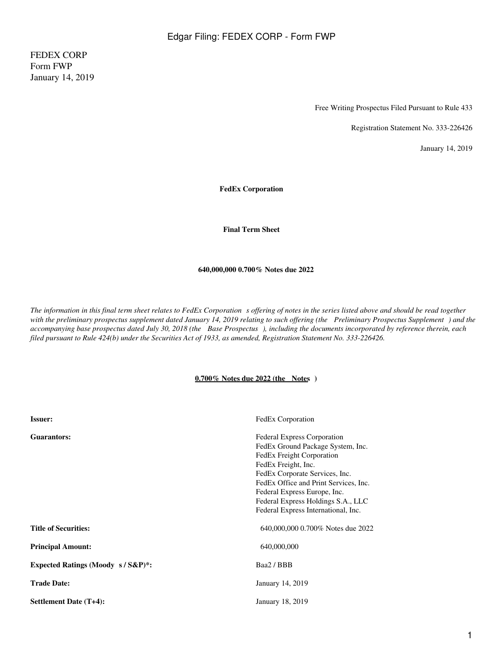FEDEX CORP Form FWP January 14, 2019

Free Writing Prospectus Filed Pursuant to Rule 433

Registration Statement No. 333-226426

January 14, 2019

**FedEx Corporation**

**Final Term Sheet**

#### **640,000,000 0.700% Notes due 2022**

*The information in this final term sheet relates to FedEx Corporations offering of notes in the series listed above and should be read together with the preliminary prospectus supplement dated January 14, 2019 relating to such offering (the Preliminary Prospectus Supplement) and the accompanying base prospectus dated July 30, 2018 (the Base Prospectus), including the documents incorporated by reference therein, each filed pursuant to Rule 424(b) under the Securities Act of 1933, as amended, Registration Statement No. 333-226426.*

### **0.700% Notes due 2022 (the Notes)**

| <b>Issuer:</b>                       | FedEx Corporation                     |
|--------------------------------------|---------------------------------------|
| Guarantors:                          | <b>Federal Express Corporation</b>    |
|                                      | FedEx Ground Package System, Inc.     |
|                                      | <b>FedEx Freight Corporation</b>      |
|                                      | FedEx Freight, Inc.                   |
|                                      | FedEx Corporate Services, Inc.        |
|                                      | FedEx Office and Print Services, Inc. |
|                                      | Federal Express Europe, Inc.          |
|                                      | Federal Express Holdings S.A., LLC    |
|                                      | Federal Express International, Inc.   |
| <b>Title of Securities:</b>          | 640,000,000 0.700% Notes due 2022     |
| <b>Principal Amount:</b>             | 640,000,000                           |
| Expected Ratings (Moody $s/S\&P$ )*: | Baa2 / BBB                            |
| <b>Trade Date:</b>                   | January 14, 2019                      |
| Settlement Date (T+4):               | January 18, 2019                      |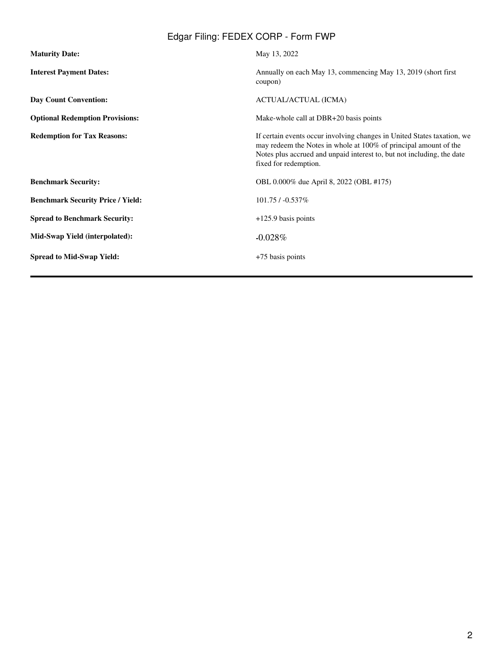# Edgar Filing: FEDEX CORP - Form FWP

| <b>Maturity Date:</b>                    | May 13, 2022                                                                                                                                                                                                                                   |
|------------------------------------------|------------------------------------------------------------------------------------------------------------------------------------------------------------------------------------------------------------------------------------------------|
| <b>Interest Payment Dates:</b>           | Annually on each May 13, commencing May 13, 2019 (short first)<br>coupon)                                                                                                                                                                      |
| <b>Day Count Convention:</b>             | <b>ACTUAL/ACTUAL (ICMA)</b>                                                                                                                                                                                                                    |
| <b>Optional Redemption Provisions:</b>   | Make-whole call at DBR+20 basis points                                                                                                                                                                                                         |
| <b>Redemption for Tax Reasons:</b>       | If certain events occur involving changes in United States taxation, we<br>may redeem the Notes in whole at 100% of principal amount of the<br>Notes plus accrued and unpaid interest to, but not including, the date<br>fixed for redemption. |
| <b>Benchmark Security:</b>               | OBL 0.000% due April 8, 2022 (OBL #175)                                                                                                                                                                                                        |
| <b>Benchmark Security Price / Yield:</b> | $101.75/ -0.537\%$                                                                                                                                                                                                                             |
| <b>Spread to Benchmark Security:</b>     | $+125.9$ basis points                                                                                                                                                                                                                          |
| Mid-Swap Yield (interpolated):           | $-0.028\%$                                                                                                                                                                                                                                     |
| <b>Spread to Mid-Swap Yield:</b>         | $+75$ basis points                                                                                                                                                                                                                             |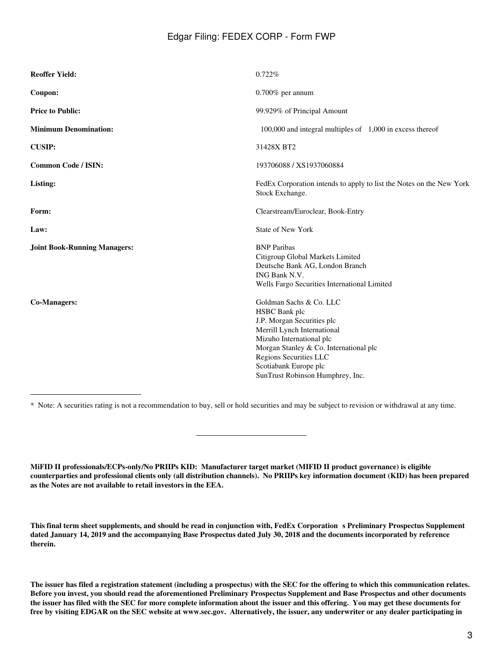## Edgar Filing: FEDEX CORP - Form FWP

| <b>Reoffer Yield:</b>               | 0.722%                                                                                                                                                                                                                                                             |
|-------------------------------------|--------------------------------------------------------------------------------------------------------------------------------------------------------------------------------------------------------------------------------------------------------------------|
| Coupon:                             | $0.700\%$ per annum                                                                                                                                                                                                                                                |
| <b>Price to Public:</b>             | 99.929% of Principal Amount                                                                                                                                                                                                                                        |
| <b>Minimum Denomination:</b>        | $100,000$ and integral multiples of $1,000$ in excess thereof                                                                                                                                                                                                      |
| <b>CUSIP:</b>                       | 31428X BT2                                                                                                                                                                                                                                                         |
| <b>Common Code / ISIN:</b>          | 193706088 / XS1937060884                                                                                                                                                                                                                                           |
| Listing:                            | FedEx Corporation intends to apply to list the Notes on the New York<br>Stock Exchange.                                                                                                                                                                            |
| Form:                               | Clearstream/Euroclear, Book-Entry                                                                                                                                                                                                                                  |
| Law:                                | <b>State of New York</b>                                                                                                                                                                                                                                           |
| <b>Joint Book-Running Managers:</b> | <b>BNP</b> Paribas<br>Citigroup Global Markets Limited<br>Deutsche Bank AG, London Branch<br>ING Bank N.V.<br>Wells Fargo Securities International Limited                                                                                                         |
| <b>Co-Managers:</b>                 | Goldman Sachs & Co. LLC<br>HSBC Bank plc<br>J.P. Morgan Securities plc<br>Merrill Lynch International<br>Mizuho International plc<br>Morgan Stanley & Co. International plc<br>Regions Securities LLC<br>Scotiabank Europe plc<br>SunTrust Robinson Humphrey, Inc. |

\* Note: A securities rating is not a recommendation to buy, sell or hold securities and may be subject to revision or withdrawal at any time.

**MiFID II professionals/ECPs-only/No PRIIPs KID: Manufacturer target market (MIFID II product governance) is eligible counterparties and professional clients only (all distribution channels). No PRIIPs key information document (KID) has been prepared as the Notes are not available to retail investors in the EEA.**

**This final term sheet supplements, and should be read in conjunction with, FedEx Corporations Preliminary Prospectus Supplement dated January 14, 2019 and the accompanying Base Prospectus dated July 30, 2018 and the documents incorporated by reference therein.**

**The issuer has filed a registration statement (including a prospectus) with the SEC for the offering to which this communication relates. Before you invest, you should read the aforementioned Preliminary Prospectus Supplement and Base Prospectus and other documents the issuer has filed with the SEC for more complete information about the issuer and this offering. You may get these documents for free by visiting EDGAR on the SEC website at www.sec.gov. Alternatively, the issuer, any underwriter or any dealer participating in**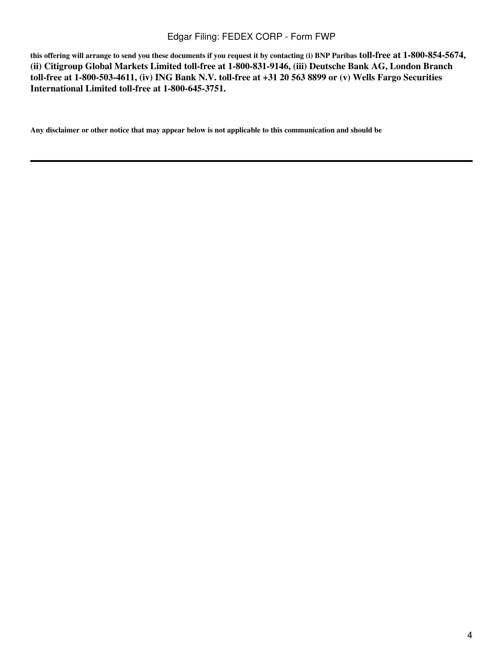## Edgar Filing: FEDEX CORP - Form FWP

**this offering will arrange to send you these documents if you request it by contacting (i) BNP Paribas toll-free at 1-800-854-5674, (ii) Citigroup Global Markets Limited toll-free at 1-800-831-9146, (iii) Deutsche Bank AG, London Branch toll-free at 1-800-503-4611, (iv) ING Bank N.V. toll-free at +31 20 563 8899 or (v) Wells Fargo Securities International Limited toll-free at 1-800-645-3751.**

**Any disclaimer or other notice that may appear below is not applicable to this communication and should be**